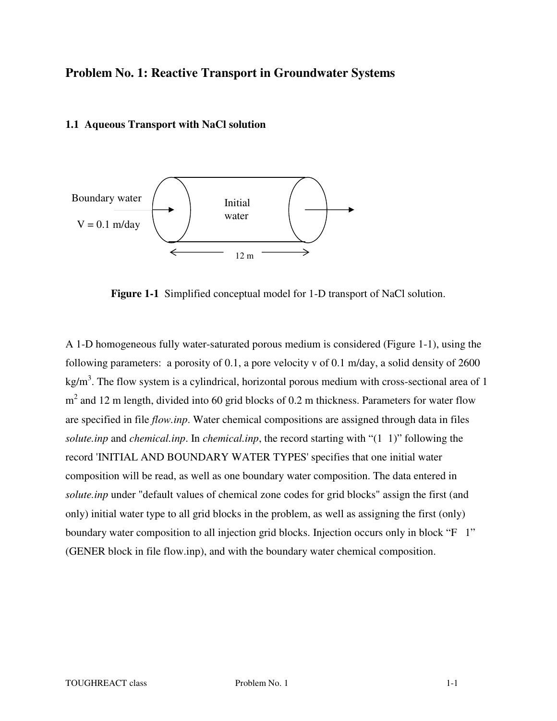# **Problem No. 1: Reactive Transport in Groundwater Systems**

#### **1.1 Aqueous Transport with NaCl solution**



**Figure 1-1** Simplified conceptual model for 1-D transport of NaCl solution.

A 1-D homogeneous fully water-saturated porous medium is considered (Figure 1-1), using the following parameters: a porosity of 0.1, a pore velocity v of 0.1 m/day, a solid density of 2600 kg/m<sup>3</sup>. The flow system is a cylindrical, horizontal porous medium with cross-sectional area of 1  $m<sup>2</sup>$  and 12 m length, divided into 60 grid blocks of 0.2 m thickness. Parameters for water flow are specified in file *flow.inp*. Water chemical compositions are assigned through data in files *solute.inp* and *chemical.inp*. In *chemical.inp*, the record starting with "(1 1)" following the record 'INITIAL AND BOUNDARY WATER TYPES' specifies that one initial water composition will be read, as well as one boundary water composition. The data entered in *solute.inp* under "default values of chemical zone codes for grid blocks" assign the first (and only) initial water type to all grid blocks in the problem, as well as assigning the first (only) boundary water composition to all injection grid blocks. Injection occurs only in block "F 1" (GENER block in file flow.inp), and with the boundary water chemical composition.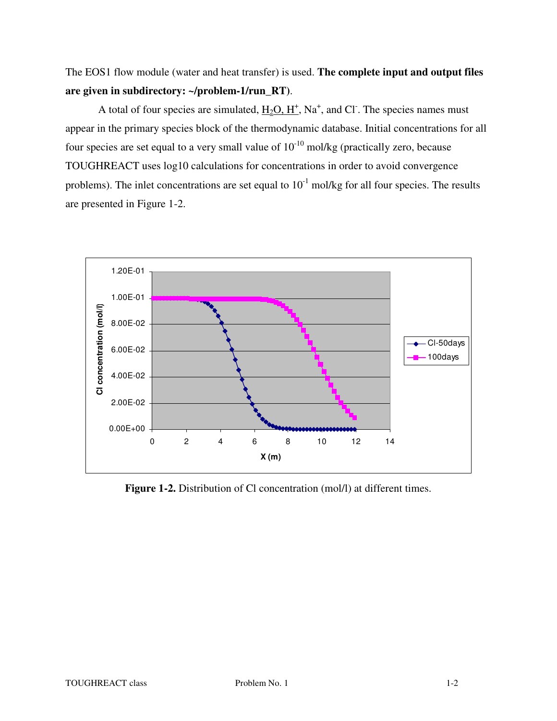The EOS1 flow module (water and heat transfer) is used. **The complete input and output files are given in subdirectory: ~/problem-1/run\_RT)**.

A total of four species are simulated,  $H_2O, H^+$ , Na<sup>+</sup>, and Cl<sup>-</sup>. The species names must appear in the primary species block of the thermodynamic database. Initial concentrations for all four species are set equal to a very small value of  $10^{-10}$  mol/kg (practically zero, because TOUGHREACT uses log10 calculations for concentrations in order to avoid convergence problems). The inlet concentrations are set equal to  $10^{-1}$  mol/kg for all four species. The results are presented in Figure 1-2.



Figure 1-2. Distribution of Cl concentration (mol/l) at different times.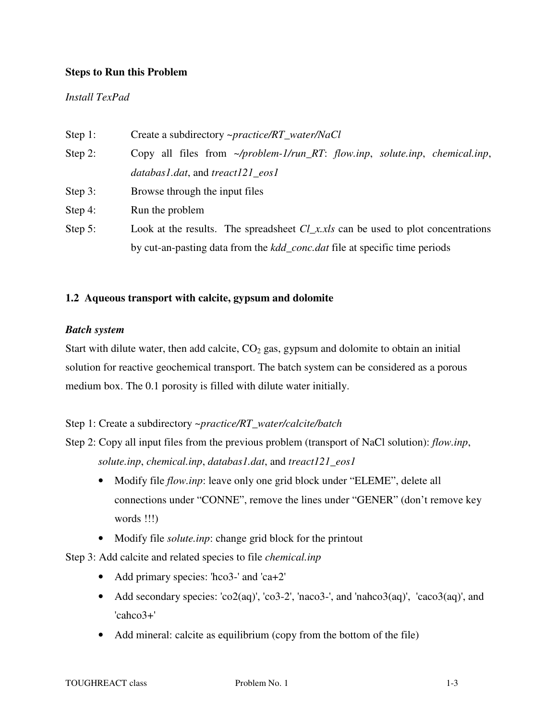# **Steps to Run this Problem**

## *Install TexPad*

| Step 1:    | Create a subdirectory ~ <i>practice/RT_water/NaCl</i>                              |  |  |  |  |  |  |  |  |
|------------|------------------------------------------------------------------------------------|--|--|--|--|--|--|--|--|
| Step 2:    | Copy all files from $\sim$ /problem-1/run_RT: flow.inp, solute.inp, chemical.inp,  |  |  |  |  |  |  |  |  |
|            | databas1.dat, and treact121_eos1                                                   |  |  |  |  |  |  |  |  |
| Step 3:    | Browse through the input files                                                     |  |  |  |  |  |  |  |  |
| Step 4:    | Run the problem                                                                    |  |  |  |  |  |  |  |  |
| Step $5$ : | Look at the results. The spreadsheet $Cl_{x,x}$ can be used to plot concentrations |  |  |  |  |  |  |  |  |
|            | by cut-an-pasting data from the kdd_conc.dat file at specific time periods         |  |  |  |  |  |  |  |  |

# **1.2 Aqueous transport with calcite, gypsum and dolomite**

## *Batch system*

Start with dilute water, then add calcite,  $CO<sub>2</sub>$  gas, gypsum and dolomite to obtain an initial solution for reactive geochemical transport. The batch system can be considered as a porous medium box. The 0.1 porosity is filled with dilute water initially.

## Step 1: Create a subdirectory *~practice/RT\_water/calcite/batch*

Step 2: Copy all input files from the previous problem (transport of NaCl solution): *flow.inp*, *solute.inp*, *chemical.inp*, *databas1.dat*, and *treact121\_eos1*

- Modify file *flow.inp*: leave only one grid block under "ELEME", delete all connections under "CONNE", remove the lines under "GENER" (don't remove key words !!!)
- Modify file *solute.inp*: change grid block for the printout

Step 3: Add calcite and related species to file *chemical.inp*

- Add primary species: 'hco3-' and 'ca+2'
- Add secondary species:  $\text{co2(aq)}$ ,  $\text{co3-2'}$ ,  $\text{haco3-'}$ , and  $\text{hanco3(aq)}$ ,  $\text{co2(aq)}$ , and 'cahco3+'
- Add mineral: calcite as equilibrium (copy from the bottom of the file)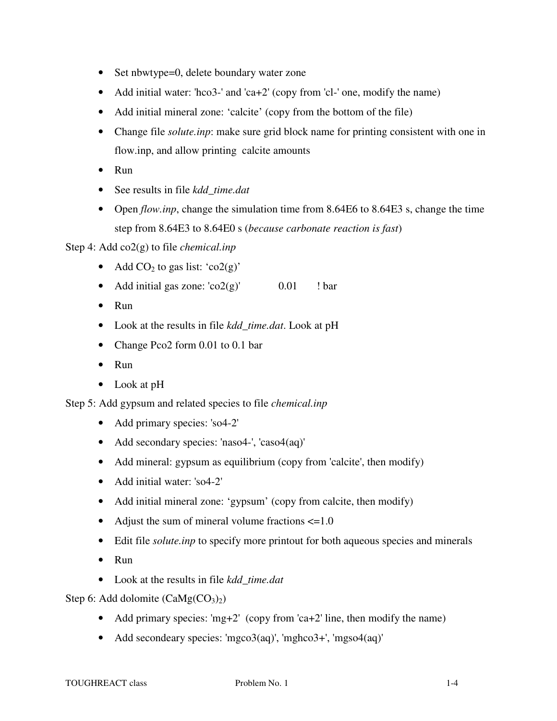- Set nbwtype=0, delete boundary water zone
- Add initial water: 'hco3-' and 'ca+2' (copy from 'cl-' one, modify the name)
- Add initial mineral zone: 'calcite' (copy from the bottom of the file)
- Change file *solute.inp*: make sure grid block name for printing consistent with one in flow.inp, and allow printing calcite amounts
- Run
- See results in file *kdd\_time.dat*
- Open *flow.inp*, change the simulation time from 8.64E6 to 8.64E3 s, change the time step from 8.64E3 to 8.64E0 s (*because carbonate reaction is fast*)

Step 4: Add co2(g) to file *chemical.inp*

- Add  $CO<sub>2</sub>$  to gas list: 'co2(g)'
- Add initial gas zone:  $\cos(2\theta)$   $\cos(0.01)$  ! bar
- Run
- Look at the results in file *kdd\_time.dat*. Look at pH
- Change Pco2 form 0.01 to 0.1 bar
- Run
- Look at pH

Step 5: Add gypsum and related species to file *chemical.inp*

- Add primary species: 'so4-2'
- Add secondary species: 'naso4-', 'caso4(aq)'
- Add mineral: gypsum as equilibrium (copy from 'calcite', then modify)
- Add initial water: 'so4-2'
- Add initial mineral zone: 'gypsum' (copy from calcite, then modify)
- Adjust the sum of mineral volume fractions  $\leq 1.0$
- Edit file *solute.inp* to specify more printout for both aqueous species and minerals
- Run
- Look at the results in file *kdd\_time.dat*

Step 6: Add dolomite  $(CaMg(CO<sub>3</sub>)<sub>2</sub>)$ 

- Add primary species: 'mg+2' (copy from 'ca+2' line, then modify the name)
- Add secondeary species: 'mgco3(aq)', 'mghco3+', 'mgso4(aq)'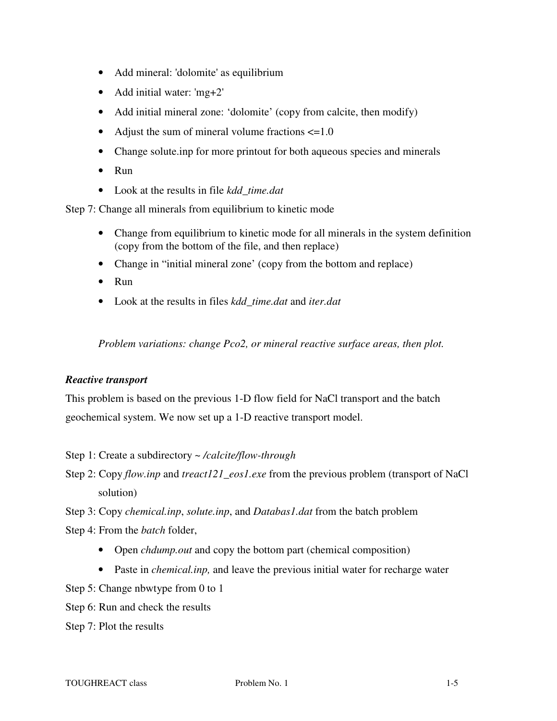- Add mineral: 'dolomite' as equilibrium
- Add initial water: 'mg+2'
- Add initial mineral zone: 'dolomite' (copy from calcite, then modify)
- Adjust the sum of mineral volume fractions  $\leq 1.0$
- Change solute.inp for more printout for both aqueous species and minerals
- Run
- Look at the results in file *kdd\_time.dat*

Step 7: Change all minerals from equilibrium to kinetic mode

- Change from equilibrium to kinetic mode for all minerals in the system definition (copy from the bottom of the file, and then replace)
- Change in "initial mineral zone" (copy from the bottom and replace)
- Run
- Look at the results in files *kdd\_time.dat* and *iter.dat*

*Problem variations: change Pco2, or mineral reactive surface areas, then plot.* 

#### *Reactive transport*

This problem is based on the previous 1-D flow field for NaCl transport and the batch geochemical system. We now set up a 1-D reactive transport model.

Step 1: Create a subdirectory ~ */calcite/flow-through*

Step 2: Copy *flow.inp* and *treact121\_eos1.exe* from the previous problem (transport of NaCl solution)

Step 3: Copy *chemical.inp*, *solute.inp*, and *Databas1.dat* from the batch problem

Step 4: From the *batch* folder,

- Open *chdump.out* and copy the bottom part (chemical composition)
- Paste in *chemical.inp,* and leave the previous initial water for recharge water

Step 5: Change nbwtype from 0 to 1

Step 6: Run and check the results

Step 7: Plot the results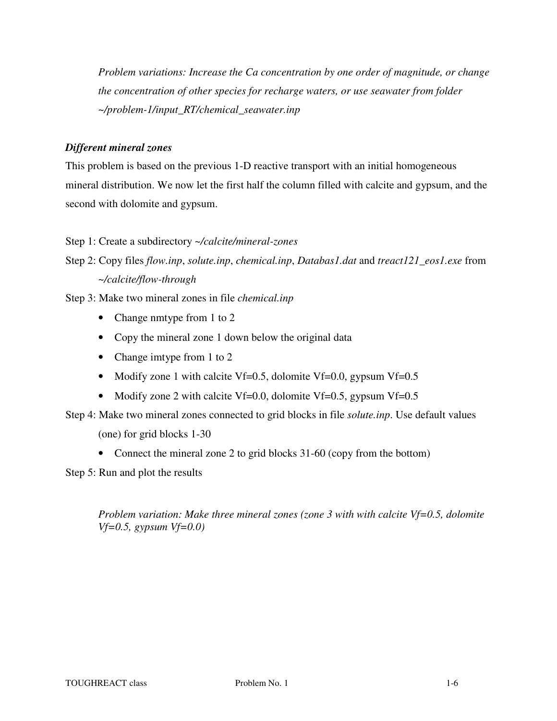*Problem variations: Increase the Ca concentration by one order of magnitude, or change the concentration of other species for recharge waters, or use seawater from folder ~/problem-1/input\_RT/chemical\_seawater.inp* 

# *Different mineral zones*

This problem is based on the previous 1-D reactive transport with an initial homogeneous mineral distribution. We now let the first half the column filled with calcite and gypsum, and the second with dolomite and gypsum.

Step 1: Create a subdirectory *~/calcite/mineral-zones*

Step 2: Copy files *flow.inp*, *solute.inp*, *chemical.inp*, *Databas1.dat* and *treact121\_eos1.exe* from *~/calcite/flow-through*

Step 3: Make two mineral zones in file *chemical.inp*

- Change nmtype from 1 to 2
- Copy the mineral zone 1 down below the original data
- Change imtype from 1 to 2
- Modify zone 1 with calcite Vf=0.5, dolomite Vf=0.0, gypsum Vf=0.5
- Modify zone 2 with calcite Vf=0.0, dolomite Vf=0.5, gypsum Vf=0.5

Step 4: Make two mineral zones connected to grid blocks in file *solute.inp*. Use default values

(one) for grid blocks 1-30

• Connect the mineral zone 2 to grid blocks 31-60 (copy from the bottom)

Step 5: Run and plot the results

*Problem variation: Make three mineral zones (zone 3 with with calcite Vf=0.5, dolomite Vf=0.5, gypsum Vf=0.0)*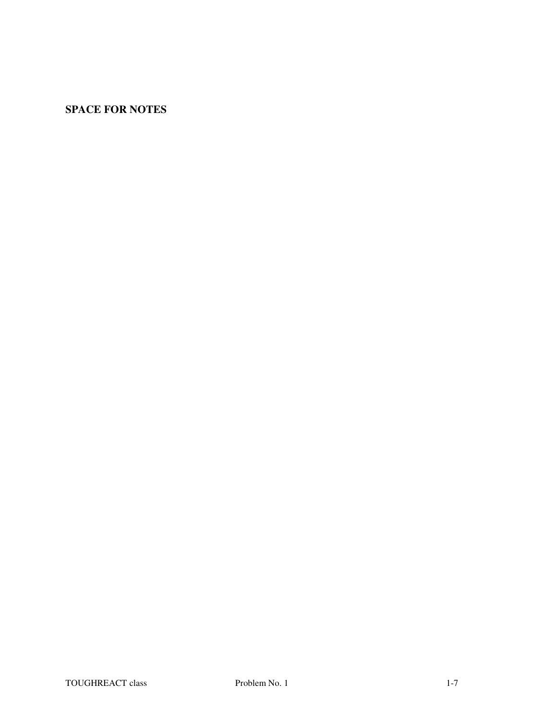# **SPACE FOR NOTES**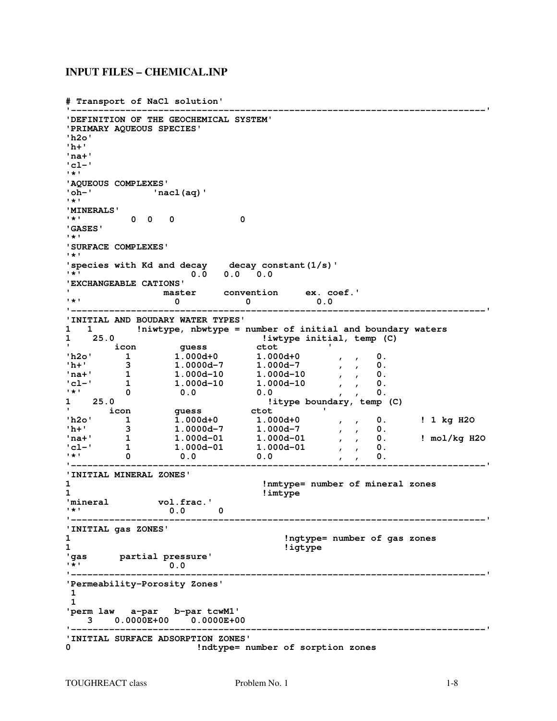#### **INPUT FILES – CHEMICAL.INP**

**# Transport of NaCl solution'** 

```
'----------------------------------------------------------------------------' 
'DEFINITION OF THE GEOCHEMICAL SYSTEM' 
'PRIMARY AQUEOUS SPECIES' 
'h2o' 
'h+' 
'na+' 
'cl-' 
'*' 
'AQUEOUS COMPLEXES' 
'oh-' 'nacl(aq)' 
'*' 
'MINERALS' 
        '*' 0 0 0 0 
'GASES' 
\mathbf{r} *
'SURFACE COMPLEXES' 
'*'<br>'species with Kd and decay
'species with Kd and decay decay constant(1/s)' 
'*' 0.0 0.0 0.0 
'EXCHANGEABLE CATIONS' 
' master convention ex. coef.' 
'*' 0 0 0.0 
'----------------------------------------------------------------------------' 
'INITIAL AND BOUDARY WATER TYPES' 
   1 1 !niwtype, nbwtype = number of initial and boundary waters 
1 25.0 !iwtype initial, temp (C) 
' icon guess ctot ' 
'h2o' 1 1.000d+0 1.000d+0 , , 0. 
'h+' 3 1.0000d-7 1.000d-7 , , 0. 
'na+' 1 1.000d-10 1.000d-10 , , 0. 
'cl-' 1 1.000d-10 1.000d-10 , , 0. 
'*' 0 0.0 0.0 , , 0. 
1 25.0 !itype boundary, temp (C) 
' icon guess ctot ' 
'h2o' 1 1.000d+0 1.000d+0 , , 0. ! 1 kg H2O 
'h+' 3 1.0000d-7 1.000d-7 , , 0. 
'na+' 1 1.000d-01 1.000d-01 , , 0. ! mol/kg H2O 
'cl-' 1 1.000d-01 1.000d-01 , , 0. 
'*' 0 0.0 0.0 , , 0. 
'----------------------------------------------------------------------------' 
'INITIAL MINERAL ZONES' 
                           1 !nmtype= number of mineral zones 
1 !imtype 
'mineral vol.frac.' 
'*' 0.0 0 
                   '----------------------------------------------------------------------------' 
'INITIAL gas ZONES' 
                               1 !ngtype= number of gas zones 
1 !igtype 
'gas partial pressure' 
'*' 0.0 
                   '----------------------------------------------------------------------------' 
'Permeability-Porosity Zones' 
 1 
 1 
'perm law a-par b-par tcwM1' 
 3 0.0000E+00 0.0000E+00 
      '----------------------------------------------------------------------------' 
'INITIAL SURFACE ADSORPTION ZONES' 
                   0 !ndtype= number of sorption zones
```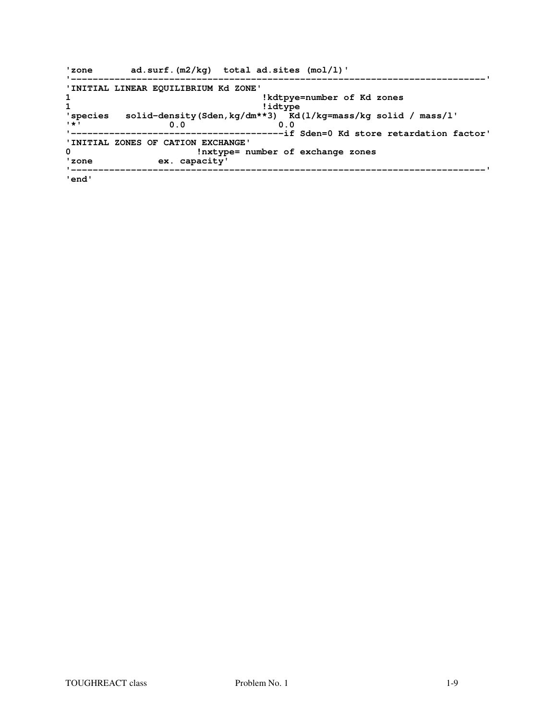| 'zone       | $ad.surf.(m2/kg)$ total $ad.sites (mol/l)'$                              |
|-------------|--------------------------------------------------------------------------|
|             | 'INITIAL LINEAR EQUILIBRIUM Kd ZONE'                                     |
| $\mathbf 1$ | !kdtpye=number of Kd zones                                               |
| 1           | !idtype                                                                  |
|             | 'species solid-density (Sden, kg/dm**3) Kd (1/kg=mass/kg solid / mass/l' |
| $1 + 1$     | 0.0<br>0.0                                                               |
|             |                                                                          |
|             | 'INITIAL ZONES OF CATION EXCHANGE'                                       |
| 0           | !nxtype= number of exchange zones                                        |
| 'zone       | ex. capacity'                                                            |
|             |                                                                          |
| 'end'       |                                                                          |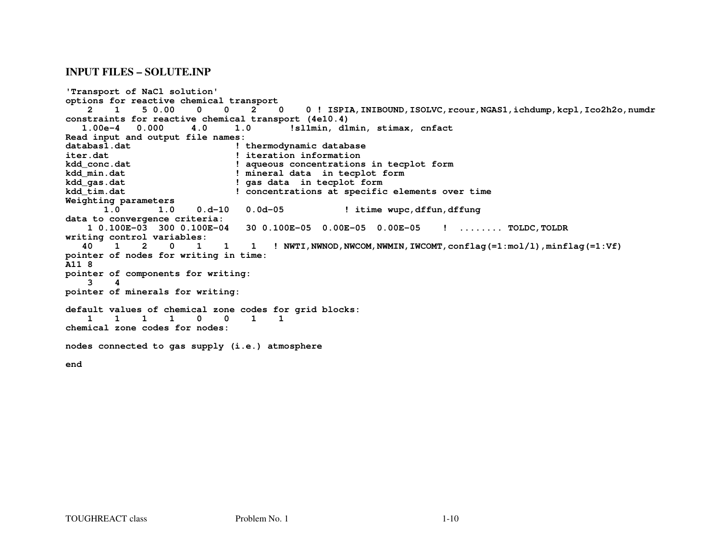#### **INPUT FILES – SOLUTE.INP**

```
'Transport of NaCl solution' 
options for reactive chemical transport \Omega 2 1 5 0.00 0 0 2 0 0 ! ISPIA,INIBOUND,ISOLVC,rcour,NGAS1,ichdump,kcpl,Ico2h2o,numdr constraints for reactive chemical transport (4e10.4) 
 1.00e-4 0.000 4.0 1.0 !sl1min, d1min, stimax, cnfact Read input and output file names: 
databas1.dat ! thermodynamic database iter.dat ! iteration information 
kdd_conc.dat ! aqueous concentrations in tecplot form kdd_min.dat ! mineral data in tecplot form kdd_gas.dat ! gas data in tecplot form 
kdd_tim.dat ! concentrations at specific elements over time Weighting parameters 1.0 1.0 1.0 0.d-10 0.0d-05 ! itime wupc,dffun,dffung data to convergence criteria: 
 1 0.100E-03 300 0.100E-04 30 0.100E-05 0.00E-05 0.00E-05 ! ........ TOLDC,TOLDR writing control variables: 2 0 1
   40 1 2 0 1 1 1 ! NWTI,NWNOD,NWCOM,NWMIN,IWCOMT,conflag(=1:mol/l),minflag(=1:Vf)pointer of nodes for writing in time: A11 8 
pointer of components for writing:  3 4 
pointer of minerals for writing: default values of chemical zone codes for grid blocks:  1 1 1 1 0 0 1 1 chemical zone codes for nodes: nodes connected to gas supply (i.e.) atmosphere end
```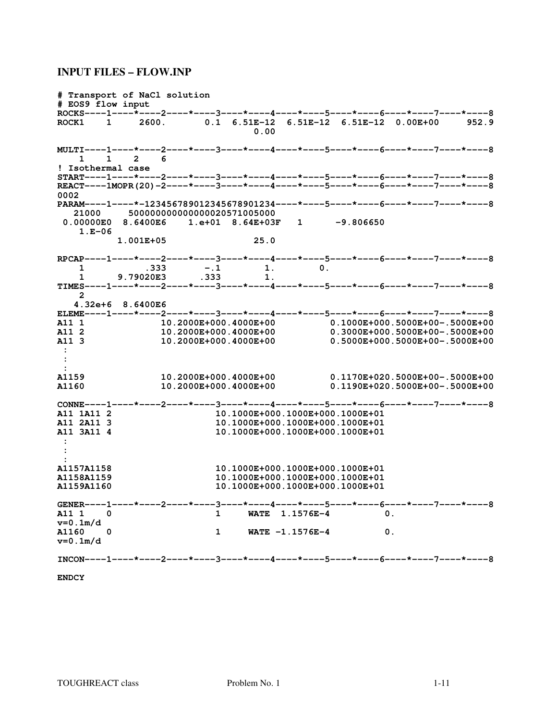#### **INPUT FILES – FLOW.INP**

**# Transport of NaCl solution # EOS9 flow input ROCKS----1----\*----2----\*----3----\*----4----\*----5----\*----6----\*----7----\*----8 ROCK1 1 2600. 0.1 6.51E-12 6.51E-12 6.51E-12 0.00E+00 952.9 0.00 MULTI----1----\*----2----\*----3----\*----4----\*----5----\*----6----\*----7----\*----8 1 1 2 6 ! Isothermal case START----1----\*----2----\*----3----\*----4----\*----5----\*----6----\*----7----\*----8 REACT----1MOPR(20)-2----\*----3----\*----4----\*----5----\*----6----\*----7----\*----8 0002 PARAM----1----\*-123456789012345678901234----\*----5----\*----6----\*----7----\*----8 21000 500000000000000020571005000 0.00000E0 8.6400E6 1.e+01 8.64E+03F 1 -9.806650 1.E-06 1.001E+05 25.0 RPCAP----1----\*----2----\*----3----\*----4----\*----5----\*----6----\*----7----\*----8 1 .333 -.1 1. 0. 1 9.79020E3 .333 1. TIMES----1----\*----2----\*----3----\*----4----\*----5----\*----6----\*----7----\*----8 2 4.32e+6 8.6400E6 ELEME----1----\*----2----\*----3----\*----4----\*----5----\*----6----\*----7----\*----8 A11 1 10.2000E+000.4000E+00 0.1000E+000.5000E+00-.5000E+00 A11 2 10.2000E+000.4000E+00 0.3000E+000.5000E+00-.5000E+00 A11 3 10.2000E+000.4000E+00 0.5000E+000.5000E+00-.5000E+00 : :**   $\overline{1159}$ **A1159 10.2000E+000.4000E+00 0.1170E+020.5000E+00-.5000E+00 A1160 10.2000E+000.4000E+00 0.1190E+020.5000E+00-.5000E+00 CONNE----1----\*----2----\*----3----\*----4----\*----5----\*----6----\*----7----\*----8 A11 1A11 2 10.1000E+000.1000E+000.1000E+01 A11 2A11 3 10.1000E+000.1000E+000.1000E+01 A11 3A11 4 10.1000E+000.1000E+000.1000E+01 : : : A1157A1158 10.1000E+000.1000E+000.1000E+01 A1158A1159 10.1000E+000.1000E+000.1000E+01 A1159A1160 10.1000E+000.1000E+000.1000E+01**  GENER----1-----\*-----2-----\*-----3-----\*-----4-----\*----5-----\*-----6-----\*-----7-----\*-----8<br>A11 1 0 WATE 1.1576E-4 0. **1 WATE 1.1576E-4** 0. **v=0.1m/d 1 WATE**  $-1.1576E-4$  0. **v=0.1m/d INCON----1----\*----2----\*----3----\*----4----\*----5----\*----6----\*----7----\*----8** 

**ENDCY**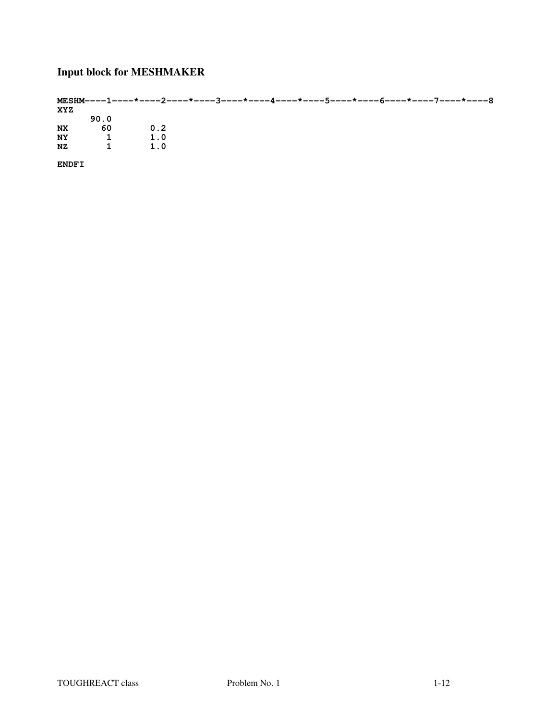# **Input block for MESHMAKER**

|           |              |     |  | MESHM----1----*----2----*----3----*----4----*----5----*----6----*----7----*----8 |  |
|-----------|--------------|-----|--|----------------------------------------------------------------------------------|--|
| XYZ       |              |     |  |                                                                                  |  |
|           | 90.0         |     |  |                                                                                  |  |
| <b>NX</b> | -60          | 0.2 |  |                                                                                  |  |
| <b>NY</b> |              | 1.0 |  |                                                                                  |  |
| NZ.       | $\mathbf{1}$ | 1.0 |  |                                                                                  |  |
|           |              |     |  |                                                                                  |  |

**ENDFI**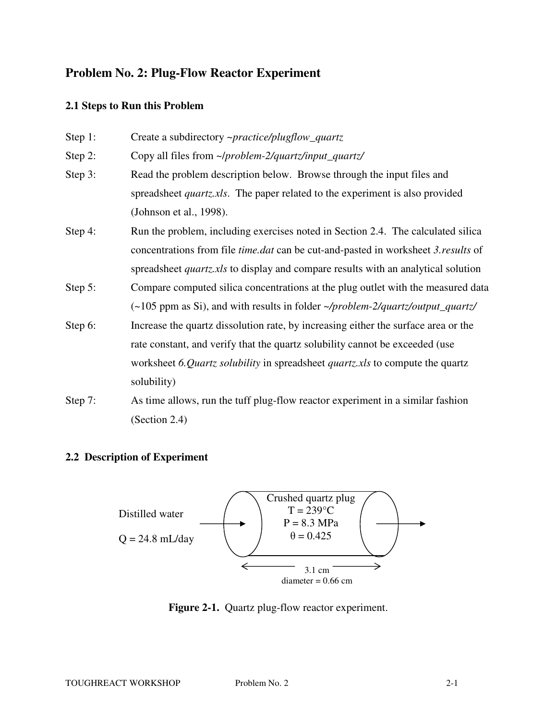# **Problem No. 2: Plug-Flow Reactor Experiment**

# **2.1 Steps to Run this Problem**

| Step 1: | Create a subdirectory ~practice/plugflow_quartz                                                  |  |  |  |  |  |  |  |  |
|---------|--------------------------------------------------------------------------------------------------|--|--|--|--|--|--|--|--|
| Step 2: | Copy all files from ~/problem-2/quartz/input_quartz/                                             |  |  |  |  |  |  |  |  |
| Step 3: | Read the problem description below. Browse through the input files and                           |  |  |  |  |  |  |  |  |
|         | spreadsheet <i>quartz.xls</i> . The paper related to the experiment is also provided             |  |  |  |  |  |  |  |  |
|         | (Johnson et al., 1998).                                                                          |  |  |  |  |  |  |  |  |
| Step 4: | Run the problem, including exercises noted in Section 2.4. The calculated silica                 |  |  |  |  |  |  |  |  |
|         | concentrations from file <i>time.dat</i> can be cut-and-pasted in worksheet 3. <i>results</i> of |  |  |  |  |  |  |  |  |
|         | spreadsheet <i>quartz xls</i> to display and compare results with an analytical solution         |  |  |  |  |  |  |  |  |
| Step 5: | Compare computed silica concentrations at the plug outlet with the measured data                 |  |  |  |  |  |  |  |  |
|         | (~105 ppm as Si), and with results in folder ~/problem-2/quartz/output_quartz/                   |  |  |  |  |  |  |  |  |
| Step 6: | Increase the quartz dissolution rate, by increasing either the surface area or the               |  |  |  |  |  |  |  |  |
|         | rate constant, and verify that the quartz solubility cannot be exceeded (use                     |  |  |  |  |  |  |  |  |
|         | worksheet 6.Quartz solubility in spreadsheet quartz xls to compute the quartz                    |  |  |  |  |  |  |  |  |
|         | solubility)                                                                                      |  |  |  |  |  |  |  |  |
| Step 7: | As time allows, run the tuff plug-flow reactor experiment in a similar fashion                   |  |  |  |  |  |  |  |  |

(Section 2.4)

# **2.2 Description of Experiment**



Figure 2-1. Quartz plug-flow reactor experiment.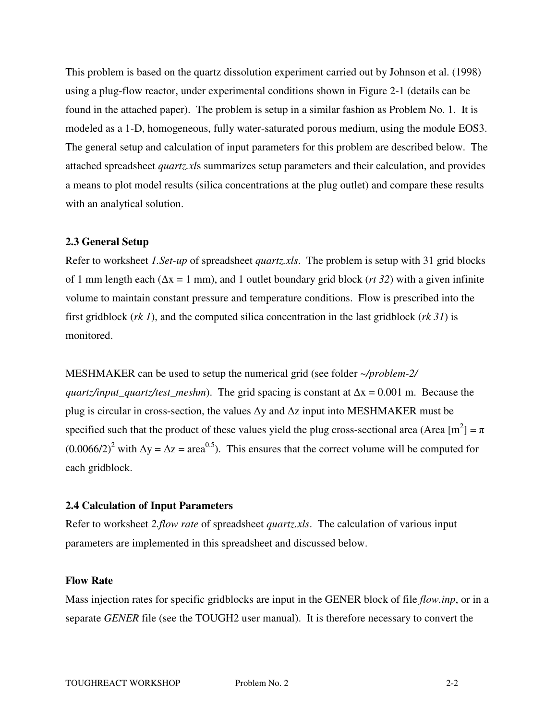This problem is based on the quartz dissolution experiment carried out by Johnson et al. (1998) using a plug-flow reactor, under experimental conditions shown in Figure 2-1 (details can be found in the attached paper). The problem is setup in a similar fashion as Problem No. 1. It is modeled as a 1-D, homogeneous, fully water-saturated porous medium, using the module EOS3. The general setup and calculation of input parameters for this problem are described below. The attached spreadsheet *quartz.xl*s summarizes setup parameters and their calculation, and provides a means to plot model results (silica concentrations at the plug outlet) and compare these results with an analytical solution.

#### **2.3 General Setup**

Refer to worksheet *1.Set-up* of spreadsheet *quartz.xls*. The problem is setup with 31 grid blocks of 1 mm length each (∆x = 1 mm), and 1 outlet boundary grid block (*rt 32*) with a given infinite volume to maintain constant pressure and temperature conditions. Flow is prescribed into the first gridblock (*rk 1*), and the computed silica concentration in the last gridblock (*rk 31*) is monitored.

MESHMAKER can be used to setup the numerical grid (see folder *~/problem-2/ quartz/input\_quartz/test\_meshm*). The grid spacing is constant at ∆x = 0.001 m. Because the plug is circular in cross-section, the values ∆y and ∆z input into MESHMAKER must be specified such that the product of these values yield the plug cross-sectional area (Area  $[m^2] = \pi$  $(0.0066/2)^2$  with  $\Delta y = \Delta z = \text{area}^{0.5}$ . This ensures that the correct volume will be computed for each gridblock.

## **2.4 Calculation of Input Parameters**

Refer to worksheet *2.flow rate* of spreadsheet *quartz.xls*. The calculation of various input parameters are implemented in this spreadsheet and discussed below.

## **Flow Rate**

Mass injection rates for specific gridblocks are input in the GENER block of file *flow.inp*, or in a separate *GENER* file (see the TOUGH2 user manual). It is therefore necessary to convert the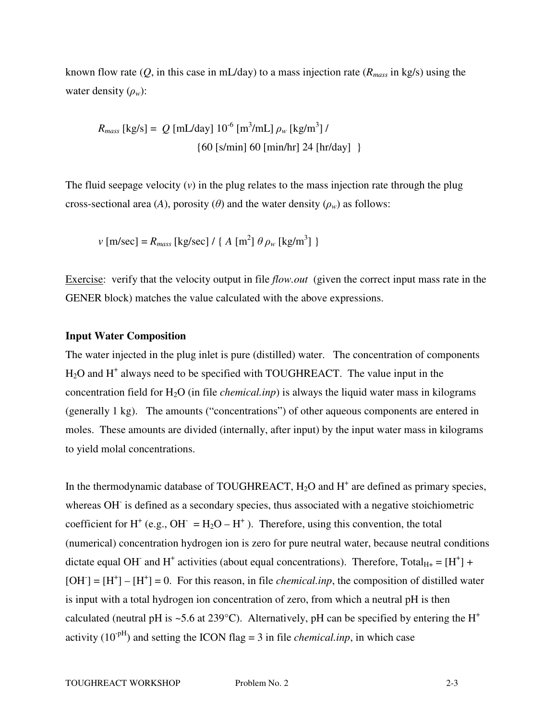known flow rate (*Q*, in this case in mL/day) to a mass injection rate (*Rmass* in kg/s) using the water density (ρ*w*):

*R*<sub>mass</sub> [kg/s] =  $Q$  [mL/day]  $10^{-6}$  [m<sup>3</sup>/mL]  $\rho_w$  [kg/m<sup>3</sup>] / {60 [s/min] 60 [min/hr] 24 [hr/day] }

The fluid seepage velocity (*v*) in the plug relates to the mass injection rate through the plug cross-sectional area (*A*), porosity ( $\theta$ ) and the water density ( $\rho_w$ ) as follows:

$$
v \,[\mathrm{m/sec}] = R_{mass} \,[\mathrm{kg/sec}] / \{ A \,[\mathrm{m}^2] \, \theta \, \rho_w \,[\mathrm{kg/m}^3] \}
$$

Exercise: verify that the velocity output in file *flow.out* (given the correct input mass rate in the GENER block) matches the value calculated with the above expressions.

#### **Input Water Composition**

The water injected in the plug inlet is pure (distilled) water. The concentration of components  $H<sub>2</sub>O$  and  $H<sup>+</sup>$  always need to be specified with TOUGHREACT. The value input in the concentration field for H2O (in file *chemical.inp*) is always the liquid water mass in kilograms (generally 1 kg). The amounts ("concentrations") of other aqueous components are entered in moles. These amounts are divided (internally, after input) by the input water mass in kilograms to yield molal concentrations.

In the thermodynamic database of TOUGHREACT,  $H_2O$  and  $H^+$  are defined as primary species, whereas OH is defined as a secondary species, thus associated with a negative stoichiometric coefficient for H<sup>+</sup> (e.g., OH<sup>-</sup> = H<sub>2</sub>O – H<sup>+</sup>). Therefore, using this convention, the total (numerical) concentration hydrogen ion is zero for pure neutral water, because neutral conditions dictate equal OH<sup>-</sup> and H<sup>+</sup> activities (about equal concentrations). Therefore, Total<sub>H+</sub> = [H<sup>+</sup>] +  $[OH^-] = [H^+] - [H^+] = 0$ . For this reason, in file *chemical.inp*, the composition of distilled water is input with a total hydrogen ion concentration of zero, from which a neutral pH is then calculated (neutral pH is ~5.6 at 239°C). Alternatively, pH can be specified by entering the  $H^+$ activity  $(10^{-pH})$  and setting the ICON flag = 3 in file *chemical.inp*, in which case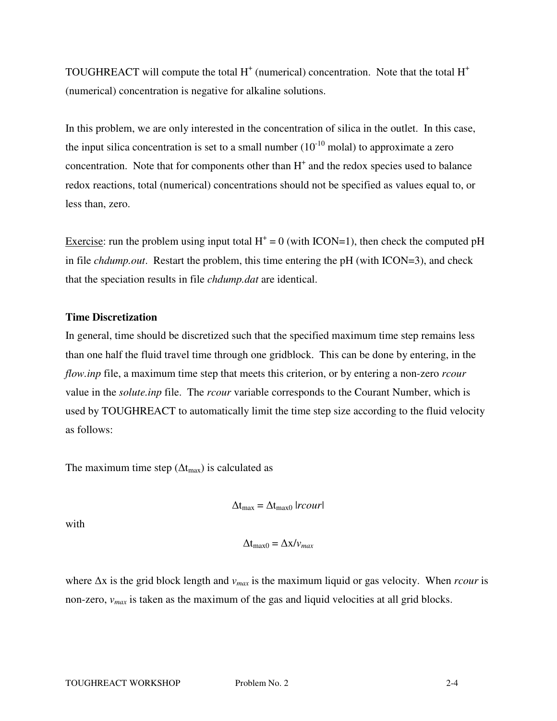TOUGHREACT will compute the total  $H^+$  (numerical) concentration. Note that the total  $H^+$ (numerical) concentration is negative for alkaline solutions.

In this problem, we are only interested in the concentration of silica in the outlet. In this case, the input silica concentration is set to a small number  $(10^{-10} \text{ molal})$  to approximate a zero concentration. Note that for components other than  $H<sup>+</sup>$  and the redox species used to balance redox reactions, total (numerical) concentrations should not be specified as values equal to, or less than, zero.

Exercise: run the problem using input total  $H^+ = 0$  (with ICON=1), then check the computed pH in file *chdump.out*. Restart the problem, this time entering the pH (with ICON=3), and check that the speciation results in file *chdump.dat* are identical.

### **Time Discretization**

In general, time should be discretized such that the specified maximum time step remains less than one half the fluid travel time through one gridblock. This can be done by entering, in the *flow.inp* file, a maximum time step that meets this criterion, or by entering a non-zero *rcour* value in the *solute.inp* file. The *rcour* variable corresponds to the Courant Number, which is used by TOUGHREACT to automatically limit the time step size according to the fluid velocity as follows:

The maximum time step ( $\Delta t_{\text{max}}$ ) is calculated as

$$
\Delta t_{\text{max}} = \Delta t_{\text{max0}} |r \text{c} \text{or} |
$$

with

$$
\Delta t_{\text{max}0} = \Delta x / v_{max}
$$

where ∆x is the grid block length and *vmax* is the maximum liquid or gas velocity. When *rcour* is non-zero, *vmax* is taken as the maximum of the gas and liquid velocities at all grid blocks.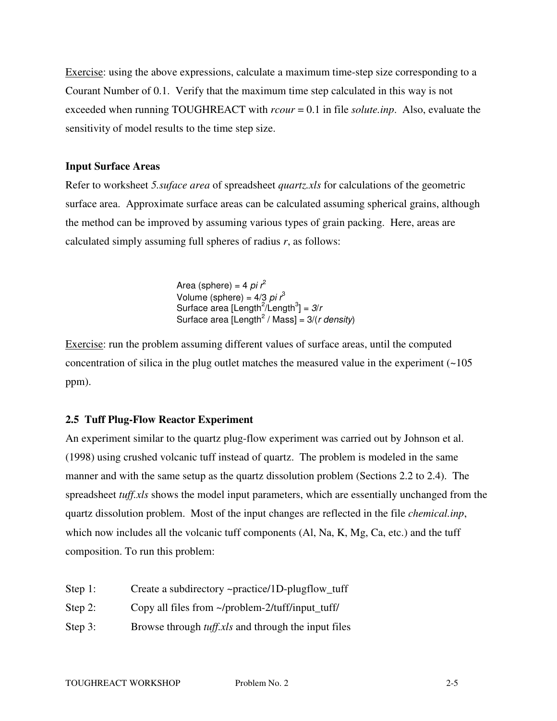Exercise: using the above expressions, calculate a maximum time-step size corresponding to a Courant Number of 0.1. Verify that the maximum time step calculated in this way is not exceeded when running TOUGHREACT with *rcour* = 0.1 in file *solute.inp*. Also, evaluate the sensitivity of model results to the time step size.

## **Input Surface Areas**

Refer to worksheet *5.suface area* of spreadsheet *quartz.xls* for calculations of the geometric surface area. Approximate surface areas can be calculated assuming spherical grains, although the method can be improved by assuming various types of grain packing. Here, areas are calculated simply assuming full spheres of radius *r*, as follows:

> Area (sphere) = 4 pi  $r^2$ Volume (sphere) =  $4/3$  pi  $r<sup>3</sup>$ Surface area [Length<sup>2</sup>/Length<sup>3</sup>] =  $3/r$ Surface area [Length<sup>2</sup> / Mass] =  $3/(r \text{ density})$

Exercise: run the problem assuming different values of surface areas, until the computed concentration of silica in the plug outlet matches the measured value in the experiment  $\left(\sim 105\right)$ ppm).

# **2.5 Tuff Plug-Flow Reactor Experiment**

An experiment similar to the quartz plug-flow experiment was carried out by Johnson et al. (1998) using crushed volcanic tuff instead of quartz. The problem is modeled in the same manner and with the same setup as the quartz dissolution problem (Sections 2.2 to 2.4). The spreadsheet *tuff.xls* shows the model input parameters, which are essentially unchanged from the quartz dissolution problem. Most of the input changes are reflected in the file *chemical.inp*, which now includes all the volcanic tuff components (Al, Na, K, Mg, Ca, etc.) and the tuff composition. To run this problem:

| Step 1:    | Create a subdirectory ~practice/1D-plugflow_tuff           |
|------------|------------------------------------------------------------|
| Step 2:    | Copy all files from ~/problem-2/tuff/input tuff/           |
| Step $3$ : | Browse through <i>tuff.xls</i> and through the input files |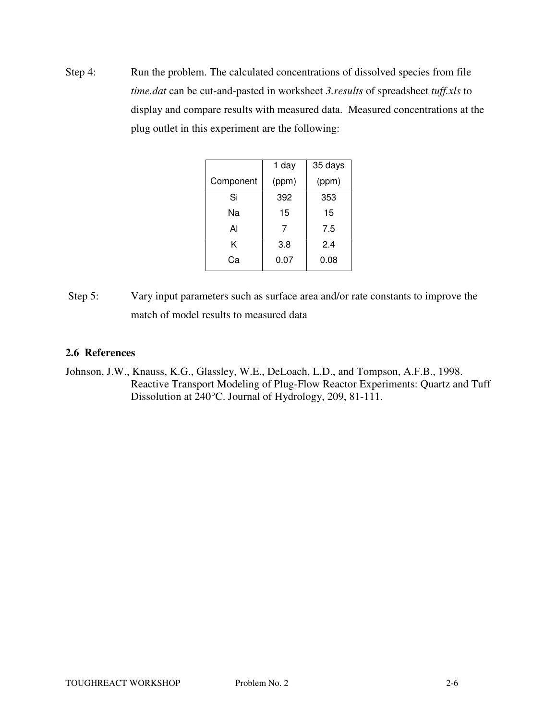Step 4: Run the problem. The calculated concentrations of dissolved species from file *time.dat* can be cut-and-pasted in worksheet *3.results* of spreadsheet *tuff.xls* to display and compare results with measured data. Measured concentrations at the plug outlet in this experiment are the following:

|           | 1 day | 35 days |  |  |  |  |
|-----------|-------|---------|--|--|--|--|
| Component | (ppm) | (ppm)   |  |  |  |  |
| Si        | 392   | 353     |  |  |  |  |
| Na        | 15    | 15      |  |  |  |  |
| Al        | 7     | 7.5     |  |  |  |  |
| Κ         | 3.8   | 2.4     |  |  |  |  |
| Cа        | 0.07  | 0.08    |  |  |  |  |

 Step 5: Vary input parameters such as surface area and/or rate constants to improve the match of model results to measured data

# **2.6 References**

Johnson, J.W., Knauss, K.G., Glassley, W.E., DeLoach, L.D., and Tompson, A.F.B., 1998. Reactive Transport Modeling of Plug-Flow Reactor Experiments: Quartz and Tuff Dissolution at 240°C. Journal of Hydrology, 209, 81-111.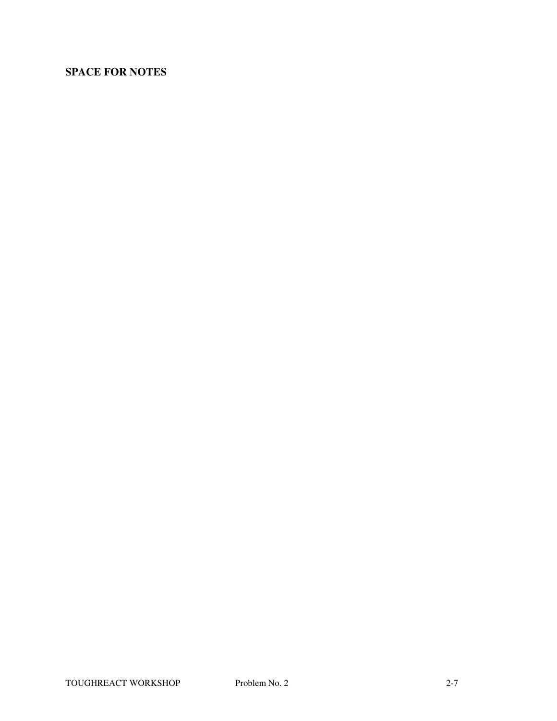# **SPACE FOR NOTES**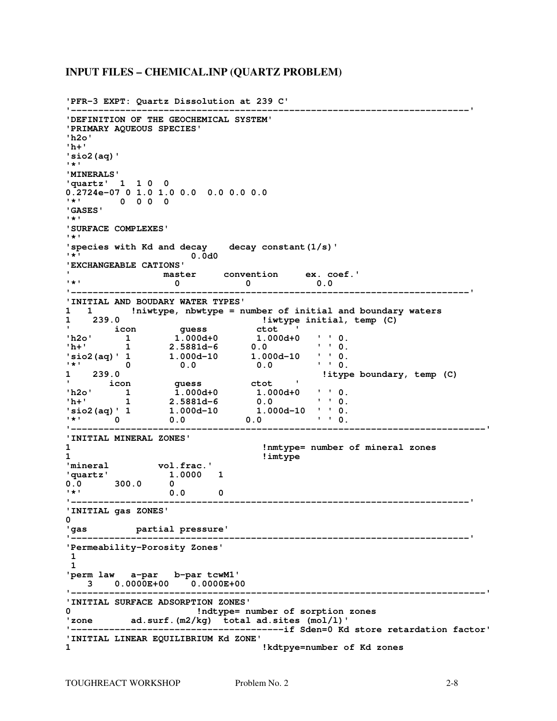#### **INPUT FILES – CHEMICAL.INP (QUARTZ PROBLEM)**

```
'PFR-3 EXPT: Quartz Dissolution at 239 C' 
'-------------------------------------------------------------------------' 
'DEFINITION OF THE GEOCHEMICAL SYSTEM' 
'PRIMARY AQUEOUS SPECIES' 
'h2o' 
'h+' 
'sio2(aq)' 
'*' 
'MINERALS' 
'quartz' 1 1 0 0 
0.2724e-07 0 1.0 1.0 0.0 0.0 0.0 0.0 
'*' 0 0 0 0 
'GASES' 
'*' 
'SURFACE COMPLEXES' 
'*' 
'species with Kd and decay decay constant(1/s)' 
                  '*' 0.0d0 
'EXCHANGEABLE CATIONS' 
' master convention ex. coef.' 
'*' 0 0 0.0 
'-------------------------------------------------------------------------' 
'INITIAL AND BOUDARY WATER TYPES' 
1 1 !niwtype, nbwtype = number of initial and boundary waters 
1 239.0 !iwtype initial, temp (C) 
' icon guess ctot ' 
'h2o' 1 1.000d+0 1.000d+0 ' ' 0. 
'h+' 1 2.5881d-6 0.0 ' ' 0. 
'sio2(aq)' 1 1.000d-10 1.000d-10 ' ' 0. 
'*' 0 0.0 0.0 ' ' 0. 
1 239.0 !itype boundary, temp (C) 
' icon guess ctot ' 
'h2o' 1 1.000d+0 1.000d+0 ' ' 0. 
'h+' 1 2.5881d-6 0.0 ' ' 0. 
'sio2(aq)' 1 1.000d-10 1.000d-10 ' ' 0. 
'*' 0 0.0 0.0 ' ' 0. 
                                                   '----------------------------------------------------------------------------' 
'INITIAL MINERAL ZONES' 
1 !nmtype= number of mineral zones 
1 !imtype 
'mineral vol.frac.' 
'quartz' 1.0000 1 
0.0 300.0 0 
'*' 0.0 0 
                              '-------------------------------------------------------------------------' 
'INITIAL gas ZONES' 
0 
'gas partial pressure' 
                         '-------------------------------------------------------------------------' 
'Permeability-Porosity Zones' 
 1 
 1 
'perm law a-par b-par tcwM1' 
  3 0.0000E+00 0.0000E+00 
                               '----------------------------------------------------------------------------' 
'INITIAL SURFACE ADSORPTION ZONES' 
0 !ndtype= number of sorption zones 
'zone ad.surf.(m2/kg) total ad.sites (mol/l)' 
'---------------------------------------if Sden=0 Kd store retardation factor' 
'INITIAL LINEAR EQUILIBRIUM Kd ZONE' 
                              1 !kdtpye=number of Kd zones
```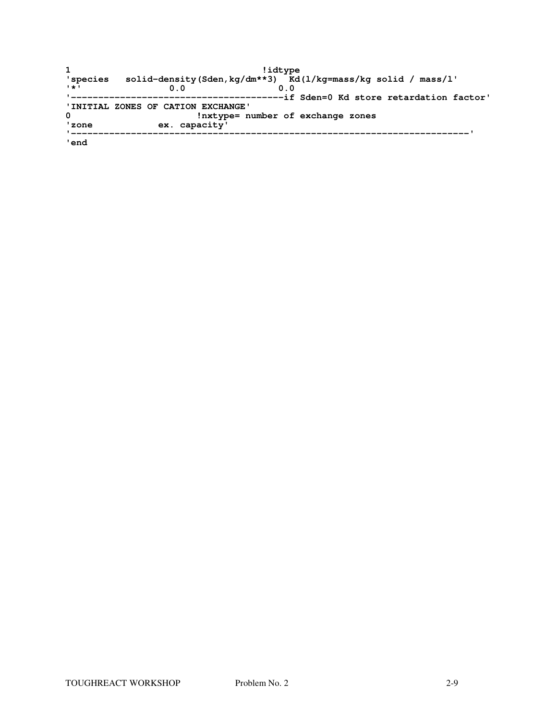|                           | !idtype                                                        |
|---------------------------|----------------------------------------------------------------|
| 'species                  | solid-density (Sden, kg/dm**3) Kd(1/kg=mass/kg solid / mass/l' |
| $\mathbf{1} + \mathbf{1}$ | 0.0<br>n n                                                     |
|                           | -----------if Sden=0 Kd store retardation factor'              |
|                           | 'INITIAL ZONES OF CATION EXCHANGE'                             |
| 0                         | !nxtype= number of exchange zones                              |
| ' zone                    | ex. capacity'                                                  |
|                           |                                                                |

**'end**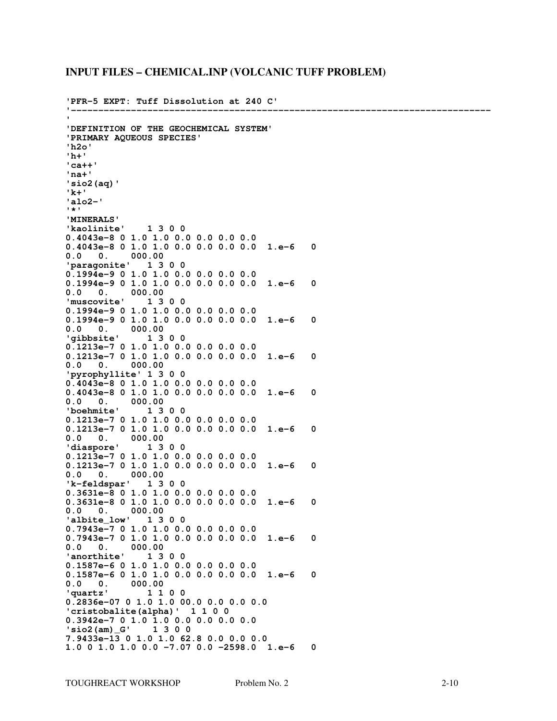#### **INPUT FILES – CHEMICAL.INP (VOLCANIC TUFF PROBLEM)**

**'PFR-5 EXPT: Tuff Dissolution at 240 C' '----------------------------------------------------------------------------- ' 'DEFINITION OF THE GEOCHEMICAL SYSTEM' 'PRIMARY AQUEOUS SPECIES' 'h2o' 'h+' 'ca++' 'na+' 'sio2(aq)' 'k+' 'alo2-' '\*' 'MINERALS' 'kaolinite' 1 3 0 0 0.4043e-8 0 1.0 1.0 0.0 0.0 0.0 0.0 0.4043e-8 0 1.0 1.0 0.0 0.0 0.0 0.0 1.e-6 0 0.0 0. 000.00 'paragonite' 1 3 0 0 0.1994e-9 0 1.0 1.0 0.0 0.0 0.0 0.0 0.1994e-9 0 1.0 1.0 0.0 0.0 0.0 0.0 1.e-6 0 0.0 0. 000.00 'muscovite' 1 3 0 0 0.1994e-9 0 1.0 1.0 0.0 0.0 0.0 0.0 0.1994e-9 0 1.0 1.0 0.0 0.0 0.0 0.0 1.e-6 0 0.0 0. 000.00 'gibbsite' 1 3 0 0 0.1213e-7 0 1.0 1.0 0.0 0.0 0.0 0.0 0.1213e-7 0 1.0 1.0 0.0 0.0 0.0 0.0 1.e-6 0**   $0.0 \quad 0.$ **'pyrophyllite' 1 3 0 0 0.4043e-8 0 1.0 1.0 0.0 0.0 0.0 0.0 0.4043e-8 0 1.0 1.0 0.0 0.0 0.0 0.0 1.e-6 0**  0. 000.00<br>**hmite'** 1300 'boehmite' **0.1213e-7 0 1.0 1.0 0.0 0.0 0.0 0.0 0.1213e-7 0 1.0 1.0 0.0 0.0 0.0 0.0 1.e-6 0 0.0 0. 000.00 'diaspore' 1 3 0 0 0.1213e-7 0 1.0 1.0 0.0 0.0 0.0 0.0 0.1213e-7 0 1.0 1.0 0.0 0.0 0.0 0.0 1.e-6 0 0.0 0. 000.00 'k-feldspar' 1 3 0 0 0.3631e-8 0 1.0 1.0 0.0 0.0 0.0 0.0 0.3631e-8 0 1.0 1.0 0.0 0.0 0.0 0.0 1.e-6 0 0.0 0. 000.00 'albite\_low' 1 3 0 0 0.7943e-7 0 1.0 1.0 0.0 0.0 0.0 0.0 0.7943e-7 0 1.0 1.0 0.0 0.0 0.0 0.0 1.e-6 0 0.0 0. 000.00 'anorthite' 1 3 0 0 0.1587e-6 0 1.0 1.0 0.0 0.0 0.0 0.0 0.1587e-6 0 1.0 1.0 0.0 0.0 0.0 0.0 1.e-6 0 0.0 0. 000.00 'quartz' 1 1 0 0 0.2836e-07 0 1.0 1.0 00.0 0.0 0.0 0.0 'cristobalite(alpha)' 1 1 0 0 0.3942e-7 0 1.0 1.0 0.0 0.0 0.0 0.0**  'sio2(am)\_G' **7.9433e-13 0 1.0 1.0 62.8 0.0 0.0 0.0 1.0 0 1.0 1.0 0.0 -7.07 0.0 -2598.0 1.e-6 0**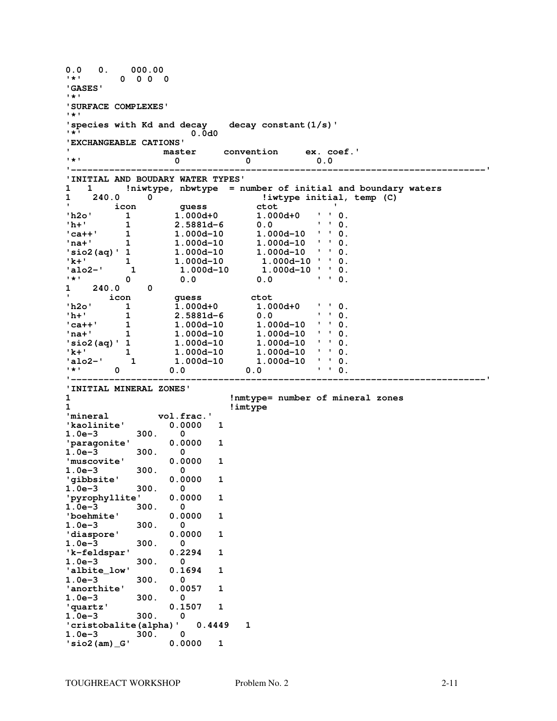**0.0 0. 000.00 '\*' 0 0 0 0 'GASES' '\*' 'SURFACE COMPLEXES' '\*' 'species with Kd and decay decay constant(1/s)' '\*' 0.0d0 'EXCHANGEABLE CATIONS' ' master convention ex. coef.' '\*' 0 0 0.0 '----------------------------------------------------------------------------' 'INITIAL AND BOUDARY WATER TYPES' 1 1 !niwtype, nbwtype = number of initial and boundary waters 1 240.0 0 !iwtype initial, temp (C) ' icon guess ctot ' 'h2o' 1 1.000d+0 1.000d+0 ' ' 0.**  1 1 2.5881d-6<br> **'ca++'** 1 1.000d-10<br>
'na+' 1 1.000d-10 **'ca++' 1 1.000d-10 1.000d-10 ' ' 0. 'na+' 1 1.000d-10 1.000d-10 ' ' 0. 'sio2(aq)' 1 1.000d-10 1.000d-10 ' ' 0.**  1.000d-10 1.000d-10 ' ' 0.<br>1.000d-10 1.000d-10 ' ' 0. 1.000d-10 1.000d-10 ' ' 0.<br>0.0 0.0 ' ' 0.  $\begin{array}{ccc} 'k+' & 1 \ 'alo2-' & 1 \ '*' & 0 \ 1 & 240.0 & 0 \end{array}$ **1 240.0 0**  1 icon guess ctot<br>
1.000d+0 1.00<sup>1</sup><br>
1.000d+0 1.00 **'h2o' 1 1.000d+0 1.000d+0 ' ' 0.**  1 2.5881d-6<br> **'h+'** 1 2.5881d-6<br> **'ca++'** 1 1.000d-10<br> **'na+'** 1 1.000d-10 1.000d-10 ' ' 0. 1 1.000d-10 1.000d-10 ' ' 0.<br> **'sio2(aq)' 1 1.000d-10 1.000d-10 ' ' 0.**<br> **'k+'** 1 1.000d-10 1.000d-10 ' ' 0. **'sio2(aq)' 1 1.000d-10 1.000d-10 ' ' 0. 'k+' 1 1.000d-10 1.000d-10 ' ' 0. 'alo2-' 1 1.000d-10 1.000d-10 ' ' 0. '\*' 0 0.0 0.0 ' ' 0. '----------------------------------------------------------------------------' 'INITIAL MINERAL ZONES' 1 !nmtype= number of mineral zones 1 !imtype 'mineral vol.frac.' 'kaolinite' 0.0000 1 1.0e-3 300. 0 'paragonite' 0.0000 1 1.0e-3 300. 0 'muscovite' 0.0000 1 1.0e-3 300. 0 'gibbsite' 0.0000 1 1.0e-3 300. 0 'pyrophyllite' 0.0000 1 1.0e-3 300. 0 'boehmite' 0.0000 1**  1.0e-3 300. 0<br> **diaspore**<br> **0.0000 'diaspore' 0.0000 1 1.0e-3 300. 0 'k-feldspar' 0.2294 1 1.0e-3 300. 0 'albite\_low' 0.1694 1 1.0e-3 300. 0 'anorthite' 0.0057 1 1.0e-3 300. 0 'quartz' 0.1507 1 1.0e-3 300. 0 'cristobalite(alpha)' 0.4449 1 1.0e-3 300. 0 'sio2(am)\_G' 0.0000 1**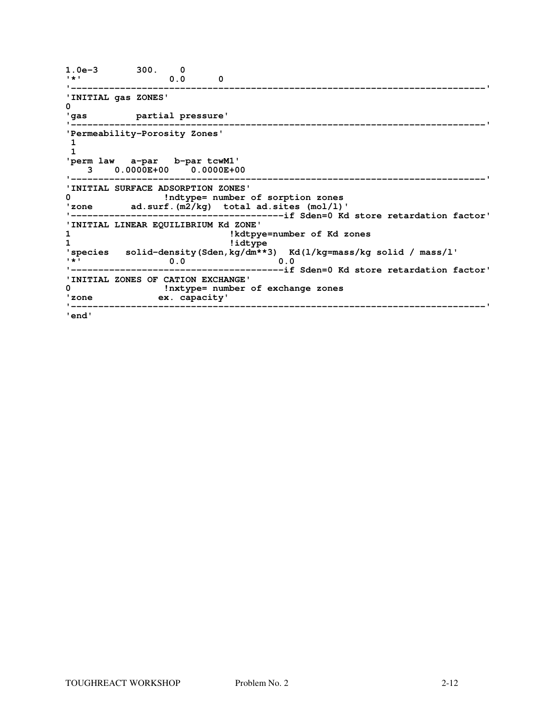```
1.0e-3 300. 0 
'*' 0.0 0 
'----------------------------------------------------------------------------' 
'INITIAL gas ZONES' 
0 
'gas partial pressure' 
'----------------------------------------------------------------------------' 
'Permeability-Porosity Zones' 
 1 
 1 
'perm law a-par b-par tcwM1' 
 3 0.0000E+00 0.0000E+00 
'----------------------------------------------------------------------------' 
'INITIAL SURFACE ADSORPTION ZONES' 
0 !ndtype= number of sorption zones 
'zone ad.surf.(m2/kg) total ad.sites (mol/l)' 
'---------------------------------------if Sden=0 Kd store retardation factor' 
'INITIAL LINEAR EQUILIBRIUM Kd ZONE' 
                          1 !kdtpye=number of Kd zones 
1 !idtype 
'species solid-density(Sden,kg/dm**3) Kd(l/kg=mass/kg solid / mass/l' 
'*' 0.0 0.0 
'---------------------------------------if Sden=0 Kd store retardation factor' 
'INITIAL ZONES OF CATION EXCHANGE' 
0 !nxtype= number of exchange zones 
'zone ex. capacity' 
'----------------------------------------------------------------------------' 
'end'
```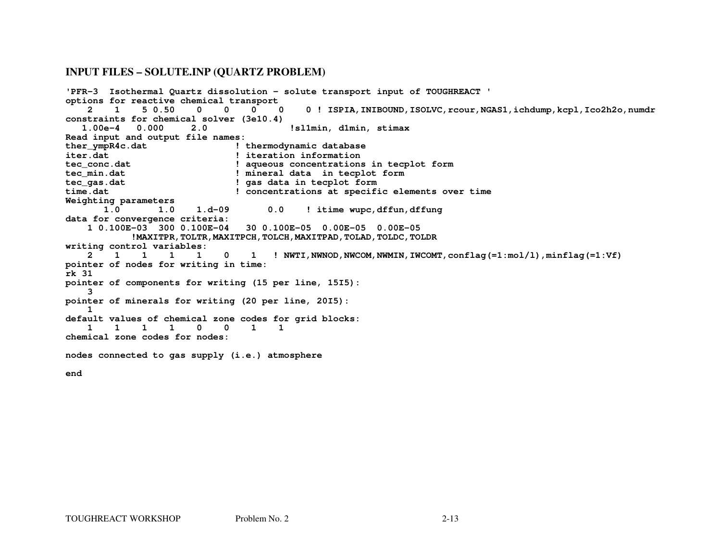#### **INPUT FILES – SOLUTE.INP (QUARTZ PROBLEM)**

```
'PFR-3 Isothermal Quartz dissolution - solute transport input of TOUGHREACT ' options for reactive chemical transport \overline{\mathbf{0}} 2 1 5 0.50 0 0 0 0 0 ! ISPIA,INIBOUND,ISOLVC,rcour,NGAS1,ichdump,kcpl,Ico2h2o,numdr constraints for chemical solver (3e10.4)  1.00e-4 0.000 2.0 !sl1min, d1min, stimax Read input and output file names: 
ther_ympR4c.dat ! thermodynamic database iter.dat ! iteration information 
tec_conc.dat ! aqueous concentrations in tecplot form tec_min.dat ! mineral data in tecplot form tec_gas.dat ! gas data in tecplot form 
time.dat ! concentrations at specific elements over time Weighting parameters 1.0 1.0 1.0 1.d-09 0.0 ! itime wupc,dffun,dffung data for convergence criteria: 
 1 0.100E-03 300 0.100E-04 30 0.100E-05 0.00E-05 0.00E-05 
!MAXITPR,TOLTR,MAXITPCH,TOLCH,MAXITPAD,TOLAD,TOLDC,TOLDR writing control variables:  2 1 1 1 1 0 1 ! NWTI,NWNOD,NWCOM,NWMIN,IWCOMT,conflag(=1:mol/l),minflag(=1:Vf)pointer of nodes for writing in time: rk 31 
pointer of components for writing (15 per line, 15I5):  3 
pointer of minerals for writing (20 per line, 20I5):  1 
default values of chemical zone codes for grid blocks:  1 1 1 1 0 0 1 1 chemical zone codes for nodes: nodes connected to gas supply (i.e.) atmosphere
```
**end**